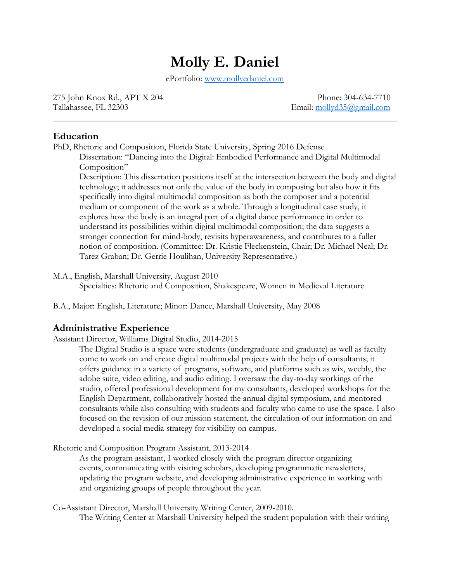# **Molly E. Daniel**

ePortfolio: [www.mollyedaniel.com](http://www.mollyedaniel.com/)

275 John Knox Rd., APT X 204 Phone: 304-634-7710 Tallahassee, FL 32303 Email: [mollyd35@gmail.com](mailto:mollyd35@gmail.com)

## **Education**

PhD, Rhetoric and Composition, Florida State University, Spring 2016 Defense

Dissertation: "Dancing into the Digital: Embodied Performance and Digital Multimodal Composition"

Description: This dissertation positions itself at the intersection between the body and digital technology; it addresses not only the value of the body in composing but also how it fits specifically into digital multimodal composition as both the composer and a potential medium or component of the work as a whole. Through a longitudinal case study, it explores how the body is an integral part of a digital dance performance in order to understand its possibilities within digital multimodal composition; the data suggests a stronger connection for mind-body, revisits hyperawareness, and contributes to a fuller notion of composition. (Committee: Dr. Kristie Fleckenstein, Chair; Dr. Michael Neal; Dr. Tarez Graban; Dr. Gerrie Houlihan, University Representative.)

M.A., English, Marshall University, August 2010 Specialties: Rhetoric and Composition, Shakespeare, Women in Medieval Literature

B.A., Major: English, Literature; Minor: Dance, Marshall University, May 2008

## **Administrative Experience**

Assistant Director, Williams Digital Studio, 2014-2015

The Digital Studio is a space were students (undergraduate and graduate) as well as faculty come to work on and create digital multimodal projects with the help of consultants; it offers guidance in a variety of programs, software, and platforms such as wix, weebly, the adobe suite, video editing, and audio editing. I oversaw the day-to-day workings of the studio, offered professional development for my consultants, developed workshops for the English Department, collaboratively hosted the annual digital symposium, and mentored consultants while also consulting with students and faculty who came to use the space. I also focused on the revision of our mission statement, the circulation of our information on and developed a social media strategy for visibility on campus.

Rhetoric and Composition Program Assistant, 2013-2014

As the program assistant, I worked closely with the program director organizing events, communicating with visiting scholars, developing programmatic newsletters, updating the program website, and developing administrative experience in working with and organizing groups of people throughout the year.

Co-Assistant Director, Marshall University Writing Center, 2009-2010. The Writing Center at Marshall University helped the student population with their writing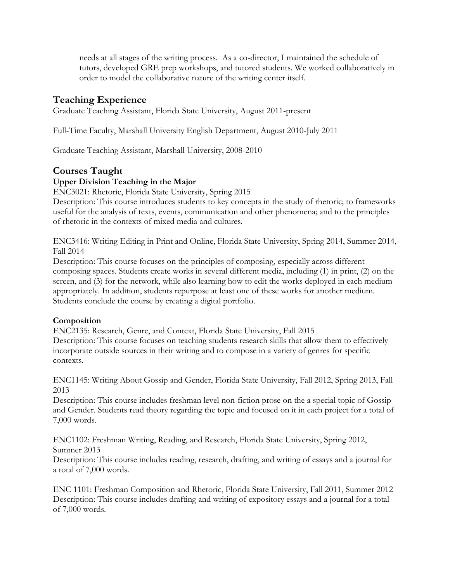needs at all stages of the writing process. As a co-director, I maintained the schedule of tutors, developed GRE prep workshops, and tutored students. We worked collaboratively in order to model the collaborative nature of the writing center itself.

# **Teaching Experience**

Graduate Teaching Assistant, Florida State University, August 2011-present

Full-Time Faculty, Marshall University English Department, August 2010-July 2011

Graduate Teaching Assistant, Marshall University, 2008-2010

# **Courses Taught**

## **Upper Division Teaching in the Major**

ENC3021: Rhetoric, Florida State University, Spring 2015

Description: This course introduces students to key concepts in the study of rhetoric; to frameworks useful for the analysis of texts, events, communication and other phenomena; and to the principles of rhetoric in the contexts of mixed media and cultures.

ENC3416: Writing Editing in Print and Online, Florida State University, Spring 2014, Summer 2014, Fall 2014

Description: This course focuses on the principles of composing, especially across different composing spaces. Students create works in several different media, including (1) in print, (2) on the screen, and (3) for the network, while also learning how to edit the works deployed in each medium appropriately. In addition, students repurpose at least one of these works for another medium. Students conclude the course by creating a digital portfolio.

## **Composition**

ENC2135: Research, Genre, and Context, Florida State University, Fall 2015 Description: This course focuses on teaching students research skills that allow them to effectively incorporate outside sources in their writing and to compose in a variety of genres for specific contexts.

ENC1145: Writing About Gossip and Gender, Florida State University, Fall 2012, Spring 2013, Fall 2013

Description: This course includes freshman level non-fiction prose on the a special topic of Gossip and Gender. Students read theory regarding the topic and focused on it in each project for a total of 7,000 words.

ENC1102: Freshman Writing, Reading, and Research, Florida State University, Spring 2012, Summer 2013

Description: This course includes reading, research, drafting, and writing of essays and a journal for a total of 7,000 words.

ENC 1101: Freshman Composition and Rhetoric, Florida State University, Fall 2011, Summer 2012 Description: This course includes drafting and writing of expository essays and a journal for a total of 7,000 words.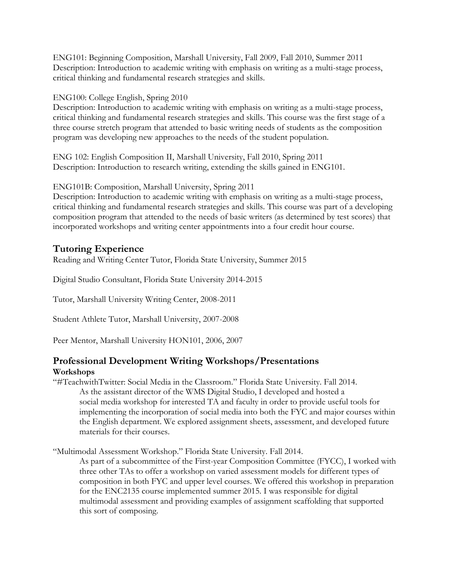ENG101: Beginning Composition, Marshall University, Fall 2009, Fall 2010, Summer 2011 Description: Introduction to academic writing with emphasis on writing as a multi-stage process, critical thinking and fundamental research strategies and skills.

## ENG100: College English, Spring 2010

Description: Introduction to academic writing with emphasis on writing as a multi-stage process, critical thinking and fundamental research strategies and skills. This course was the first stage of a three course stretch program that attended to basic writing needs of students as the composition program was developing new approaches to the needs of the student population.

ENG 102: English Composition II, Marshall University, Fall 2010, Spring 2011 Description: Introduction to research writing, extending the skills gained in ENG101.

ENG101B: Composition, Marshall University, Spring 2011

Description: Introduction to academic writing with emphasis on writing as a multi-stage process, critical thinking and fundamental research strategies and skills. This course was part of a developing composition program that attended to the needs of basic writers (as determined by test scores) that incorporated workshops and writing center appointments into a four credit hour course.

# **Tutoring Experience**

Reading and Writing Center Tutor, Florida State University, Summer 2015

Digital Studio Consultant, Florida State University 2014-2015

Tutor, Marshall University Writing Center, 2008-2011

Student Athlete Tutor, Marshall University, 2007-2008

Peer Mentor, Marshall University HON101, 2006, 2007

## **Professional Development Writing Workshops/Presentations Workshops**

"#TeachwithTwitter: Social Media in the Classroom." Florida State University. Fall 2014. As the assistant director of the WMS Digital Studio, I developed and hosted a social media workshop for interested TA and faculty in order to provide useful tools for implementing the incorporation of social media into both the FYC and major courses within the English department. We explored assignment sheets, assessment, and developed future materials for their courses.

"Multimodal Assessment Workshop." Florida State University. Fall 2014.

As part of a subcommittee of the First-year Composition Committee (FYCC), I worked with three other TAs to offer a workshop on varied assessment models for different types of composition in both FYC and upper level courses. We offered this workshop in preparation for the ENC2135 course implemented summer 2015. I was responsible for digital multimodal assessment and providing examples of assignment scaffolding that supported this sort of composing.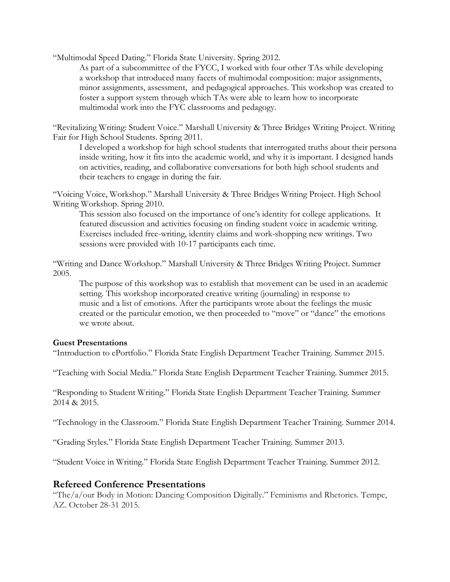"Multimodal Speed Dating." Florida State University. Spring 2012.

As part of a subcommittee of the FYCC, I worked with four other TAs while developing a workshop that introduced many facets of multimodal composition: major assignments, minor assignments, assessment, and pedagogical approaches. This workshop was created to foster a support system through which TAs were able to learn how to incorporate multimodal work into the FYC classrooms and pedagogy.

"Revitalizing Writing: Student Voice." Marshall University & Three Bridges Writing Project. Writing Fair for High School Students. Spring 2011.

I developed a workshop for high school students that interrogated truths about their persona inside writing, how it fits into the academic world, and why it is important. I designed hands on activities, reading, and collaborative conversations for both high school students and their teachers to engage in during the fair.

"Voicing Voice, Workshop." Marshall University & Three Bridges Writing Project. High School Writing Workshop. Spring 2010.

This session also focused on the importance of one's identity for college applications. It featured discussion and activities focusing on finding student voice in academic writing. Exercises included free-writing, identity claims and work-shopping new writings. Two sessions were provided with 10-17 participants each time.

"Writing and Dance Workshop." Marshall University & Three Bridges Writing Project. Summer 2005.

The purpose of this workshop was to establish that movement can be used in an academic setting. This workshop incorporated creative writing (journaling) in response to music and a list of emotions. After the participants wrote about the feelings the music created or the particular emotion, we then proceeded to "move" or "dance" the emotions we wrote about.

#### **Guest Presentations**

"Introduction to ePortfolio." Florida State English Department Teacher Training. Summer 2015.

"Teaching with Social Media." Florida State English Department Teacher Training. Summer 2015.

"Responding to Student Writing." Florida State English Department Teacher Training. Summer 2014 & 2015.

"Technology in the Classroom." Florida State English Department Teacher Training. Summer 2014.

"Grading Styles." Florida State English Department Teacher Training. Summer 2013.

"Student Voice in Writing." Florida State English Department Teacher Training. Summer 2012.

#### **Refereed Conference Presentations**

"The/a/our Body in Motion: Dancing Composition Digitally." Feminisms and Rhetorics. Tempe, AZ. October 28-31 2015.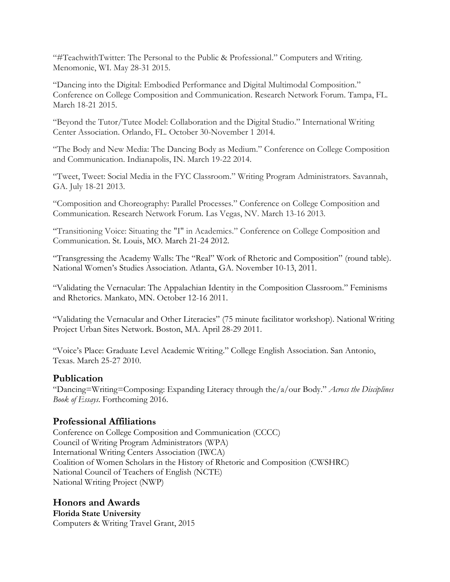"#TeachwithTwitter: The Personal to the Public & Professional." Computers and Writing. Menomonie, WI. May 28-31 2015.

"Dancing into the Digital: Embodied Performance and Digital Multimodal Composition." Conference on College Composition and Communication. Research Network Forum. Tampa, FL. March 18-21 2015.

"Beyond the Tutor/Tutee Model: Collaboration and the Digital Studio." International Writing Center Association. Orlando, FL. October 30-November 1 2014.

"The Body and New Media: The Dancing Body as Medium." Conference on College Composition and Communication. Indianapolis, IN. March 19-22 2014.

"Tweet, Tweet: Social Media in the FYC Classroom." Writing Program Administrators. Savannah, GA. July 18-21 2013.

"Composition and Choreography: Parallel Processes." Conference on College Composition and Communication. Research Network Forum. Las Vegas, NV. March 13-16 2013.

"Transitioning Voice: Situating the "I" in Academics." Conference on College Composition and Communication. St. Louis, MO. March 21-24 2012.

"Transgressing the Academy Walls: The "Real" Work of Rhetoric and Composition" (round table). National Women's Studies Association. Atlanta, GA. November 10-13, 2011.

"Validating the Vernacular: The Appalachian Identity in the Composition Classroom." Feminisms and Rhetorics. Mankato, MN. October 12-16 2011.

"Validating the Vernacular and Other Literacies" (75 minute facilitator workshop). National Writing Project Urban Sites Network. Boston, MA. April 28-29 2011.

"Voice's Place: Graduate Level Academic Writing." College English Association. San Antonio, Texas. March 25-27 2010.

## **Publication**

"Dancing=Writing=Composing: Expanding Literacy through the/a/our Body." *Across the Disciplines Book of Essays*. Forthcoming 2016.

## **Professional Affiliations**

Conference on College Composition and Communication (CCCC) Council of Writing Program Administrators (WPA) International Writing Centers Association (IWCA) Coalition of Women Scholars in the History of Rhetoric and Composition (CWSHRC) National Council of Teachers of English (NCTE) National Writing Project (NWP)

**Honors and Awards Florida State University** Computers & Writing Travel Grant, 2015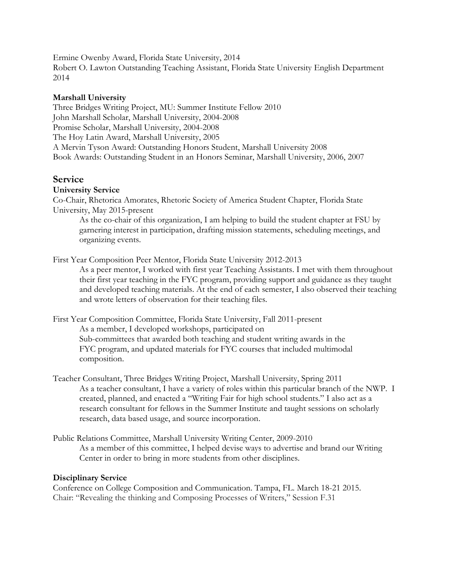Ermine Owenby Award, Florida State University, 2014 Robert O. Lawton Outstanding Teaching Assistant, Florida State University English Department 2014

### **Marshall University**

Three Bridges Writing Project, MU: Summer Institute Fellow 2010 John Marshall Scholar, Marshall University, 2004-2008 Promise Scholar, Marshall University, 2004-2008 The Hoy Latin Award, Marshall University, 2005 A Mervin Tyson Award: Outstanding Honors Student, Marshall University 2008 Book Awards: Outstanding Student in an Honors Seminar, Marshall University, 2006, 2007

# **Service**

## **University Service**

Co-Chair, Rhetorica Amorates, Rhetoric Society of America Student Chapter, Florida State University, May 2015-present

As the co-chair of this organization, I am helping to build the student chapter at FSU by garnering interest in participation, drafting mission statements, scheduling meetings, and organizing events.

First Year Composition Peer Mentor, Florida State University 2012-2013

As a peer mentor, I worked with first year Teaching Assistants. I met with them throughout their first year teaching in the FYC program, providing support and guidance as they taught and developed teaching materials. At the end of each semester, I also observed their teaching and wrote letters of observation for their teaching files.

First Year Composition Committee, Florida State University, Fall 2011-present As a member, I developed workshops, participated on Sub-committees that awarded both teaching and student writing awards in the FYC program, and updated materials for FYC courses that included multimodal composition.

- Teacher Consultant, Three Bridges Writing Project, Marshall University, Spring 2011 As a teacher consultant, I have a variety of roles within this particular branch of the NWP. I created, planned, and enacted a "Writing Fair for high school students." I also act as a research consultant for fellows in the Summer Institute and taught sessions on scholarly research, data based usage, and source incorporation.
- Public Relations Committee, Marshall University Writing Center, 2009-2010 As a member of this committee, I helped devise ways to advertise and brand our Writing Center in order to bring in more students from other disciplines.

#### **Disciplinary Service**

Conference on College Composition and Communication. Tampa, FL. March 18-21 2015. Chair: "Revealing the thinking and Composing Processes of Writers," Session F.31